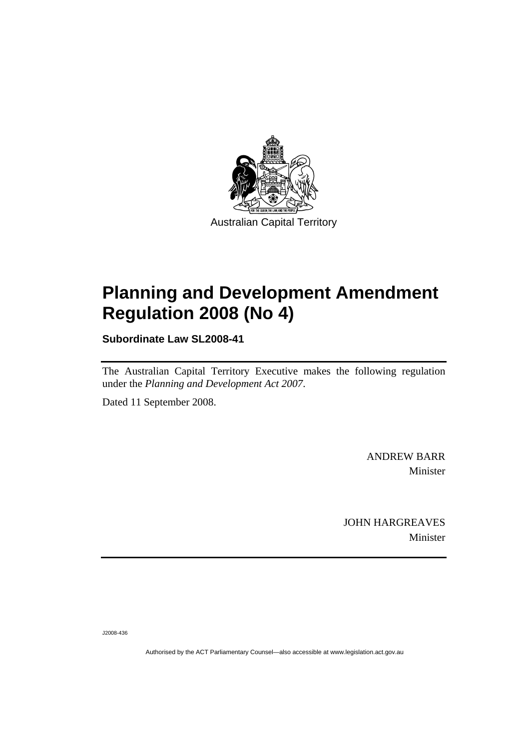

# **[Planning and Development Amendment](#page-2-0)  [Regulation 2008 \(No 4\)](#page-2-0)**

**Subordinate Law SL2008-41** 

The Australian Capital Territory Executive makes the following regulation under the *[Planning and Development Act 2007](#page-2-0)*.

Dated 11 September 2008.

ANDREW BARR Minister

JOHN HARGREAVES Minister

J2008-436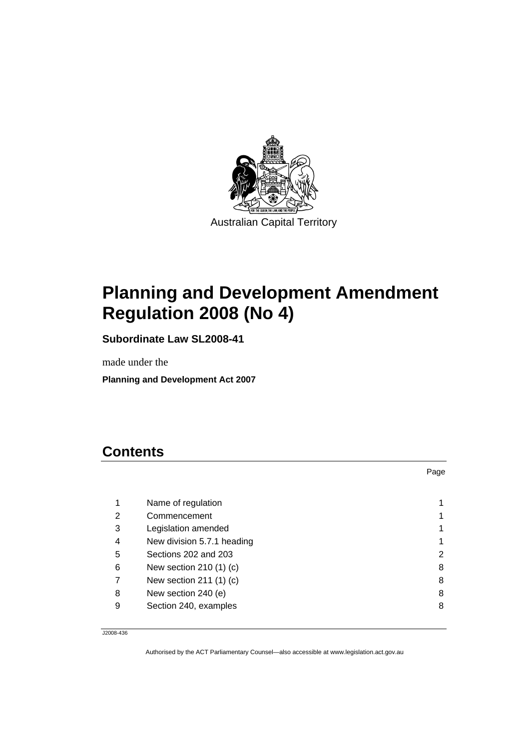<span id="page-2-0"></span>

# **Planning and Development Amendment Regulation 2008 (No 4)**

**Subordinate Law SL2008-41** 

made under the

**Planning and Development Act 2007** 

# **Contents**

|   |                             | Page |
|---|-----------------------------|------|
|   |                             |      |
| 1 | Name of regulation          |      |
| 2 | Commencement                |      |
| 3 | Legislation amended         |      |
| 4 | New division 5.7.1 heading  |      |
| 5 | Sections 202 and 203        | 2    |
| 6 | New section 210 $(1)$ $(c)$ | 8    |
|   | New section 211 (1) (c)     | 8    |
| 8 | New section 240 (e)         | 8    |
| 9 | Section 240, examples       | 8    |

J2008-436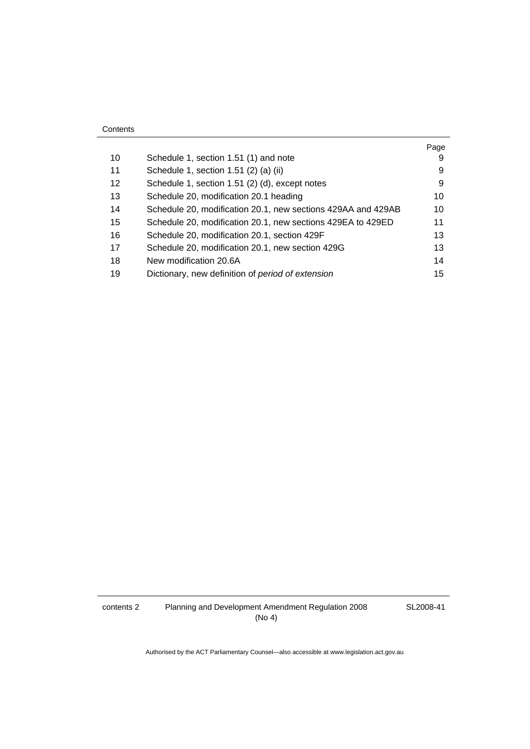| 10 | Schedule 1, section 1.51 (1) and note                        | Page<br>9 |
|----|--------------------------------------------------------------|-----------|
| 11 | Schedule 1, section 1.51 (2) (a) (ii)                        | 9         |
| 12 | Schedule 1, section 1.51 (2) (d), except notes               | 9         |
| 13 | Schedule 20, modification 20.1 heading                       | 10        |
| 14 | Schedule 20, modification 20.1, new sections 429AA and 429AB | 10        |
| 15 | Schedule 20, modification 20.1, new sections 429EA to 429ED  | 11        |
| 16 | Schedule 20, modification 20.1, section 429F                 | 13        |
| 17 | Schedule 20, modification 20.1, new section 429G             | 13        |
| 18 | New modification 20.6A                                       | 14        |
| 19 | Dictionary, new definition of period of extension            | 15        |

**Contents** 

Authorised by the ACT Parliamentary Counsel—also accessible at www.legislation.act.gov.au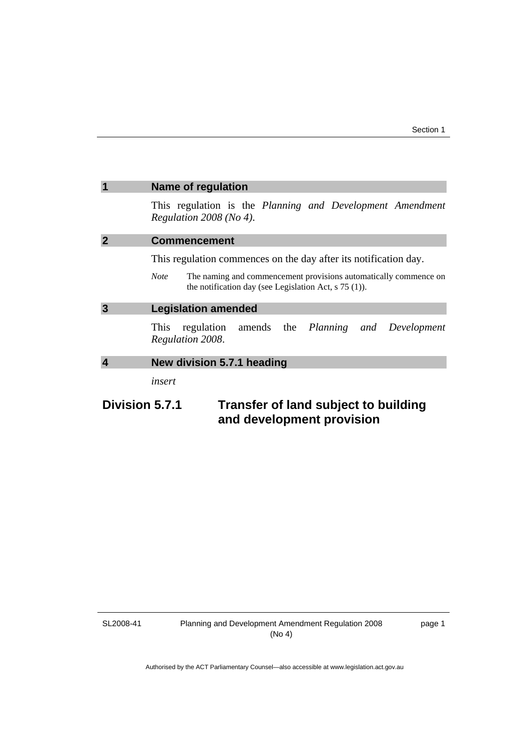<span id="page-4-0"></span>

|                                                                                     | <b>Name of regulation</b>                                                                                                                                                                                      |  |  |
|-------------------------------------------------------------------------------------|----------------------------------------------------------------------------------------------------------------------------------------------------------------------------------------------------------------|--|--|
|                                                                                     | This regulation is the Planning and Development Amendment<br>Regulation $2008$ (No 4).                                                                                                                         |  |  |
| 2                                                                                   | <b>Commencement</b>                                                                                                                                                                                            |  |  |
|                                                                                     | This regulation commences on the day after its notification day.<br>The naming and commencement provisions automatically commence on<br><b>Note</b><br>the notification day (see Legislation Act, $s$ 75 (1)). |  |  |
| 3                                                                                   | <b>Legislation amended</b>                                                                                                                                                                                     |  |  |
|                                                                                     | regulation amends the <i>Planning and</i><br>Development<br>This<br>Regulation 2008.                                                                                                                           |  |  |
| 4                                                                                   | New division 5.7.1 heading                                                                                                                                                                                     |  |  |
|                                                                                     | insert                                                                                                                                                                                                         |  |  |
| Division 5.7.1<br>Transfer of land subject to building<br>and development provision |                                                                                                                                                                                                                |  |  |

SL2008-41

page 1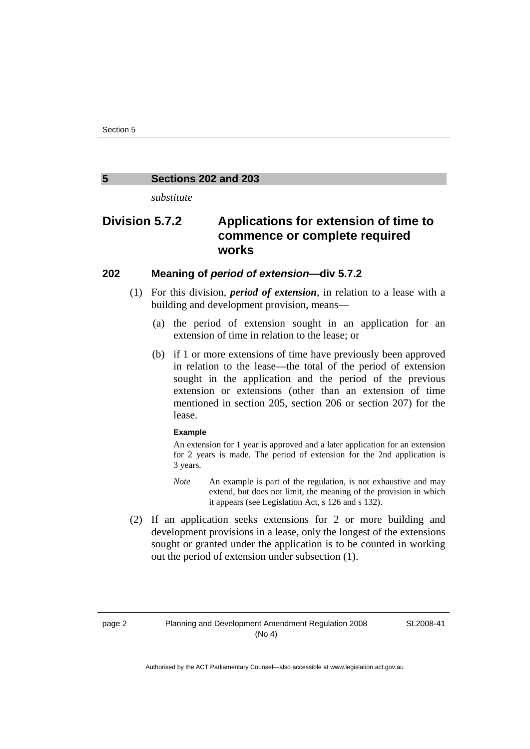#### <span id="page-5-0"></span>**5 Sections 202 and 203**

*substitute* 

# **Division 5.7.2 Applications for extension of time to commence or complete required works**

### **202 Meaning of** *period of extension***—div 5.7.2**

- (1) For this division, *period of extension*, in relation to a lease with a building and development provision, means—
	- (a) the period of extension sought in an application for an extension of time in relation to the lease; or
	- (b) if 1 or more extensions of time have previously been approved in relation to the lease—the total of the period of extension sought in the application and the period of the previous extension or extensions (other than an extension of time mentioned in section 205, section 206 or section 207) for the lease.

#### **Example**

An extension for 1 year is approved and a later application for an extension for 2 years is made. The period of extension for the 2nd application is 3 years.

- *Note* An example is part of the regulation, is not exhaustive and may extend, but does not limit, the meaning of the provision in which it appears (see Legislation Act, s 126 and s 132).
- (2) If an application seeks extensions for 2 or more building and development provisions in a lease, only the longest of the extensions sought or granted under the application is to be counted in working out the period of extension under subsection (1).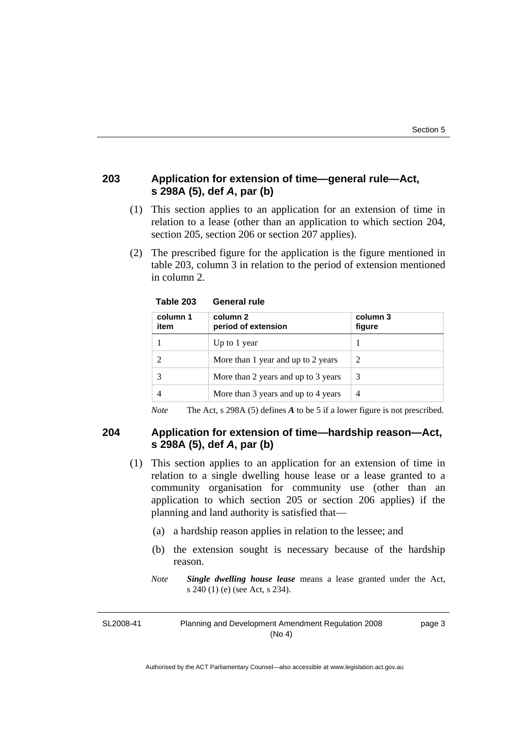# **203 Application for extension of time—general rule—Act, s 298A (5), def** *A***, par (b)**

- (1) This section applies to an application for an extension of time in relation to a lease (other than an application to which section 204, section 205, section 206 or section 207 applies).
- (2) The prescribed figure for the application is the figure mentioned in table 203, column 3 in relation to the period of extension mentioned in column 2.

| column 1<br>item | column 2<br>period of extension     | column 3<br>figure |
|------------------|-------------------------------------|--------------------|
|                  | Up to 1 year                        |                    |
|                  | More than 1 year and up to 2 years  | 2                  |
|                  | More than 2 years and up to 3 years | 3                  |
|                  | More than 3 years and up to 4 years | 4                  |

**Table 203 General rule** 

*Note* The Act, s 298A (5) defines *A* to be 5 if a lower figure is not prescribed.

# **204 Application for extension of time—hardship reason—Act, s 298A (5), def** *A***, par (b)**

- (1) This section applies to an application for an extension of time in relation to a single dwelling house lease or a lease granted to a community organisation for community use (other than an application to which section 205 or section 206 applies) if the planning and land authority is satisfied that—
	- (a) a hardship reason applies in relation to the lessee; and
	- (b) the extension sought is necessary because of the hardship reason.
	- *Note Single dwelling house lease* means a lease granted under the Act, s 240 (1) (e) (see Act, s 234).

SL2008-41 Planning and Development Amendment Regulation 2008 (No 4) page 3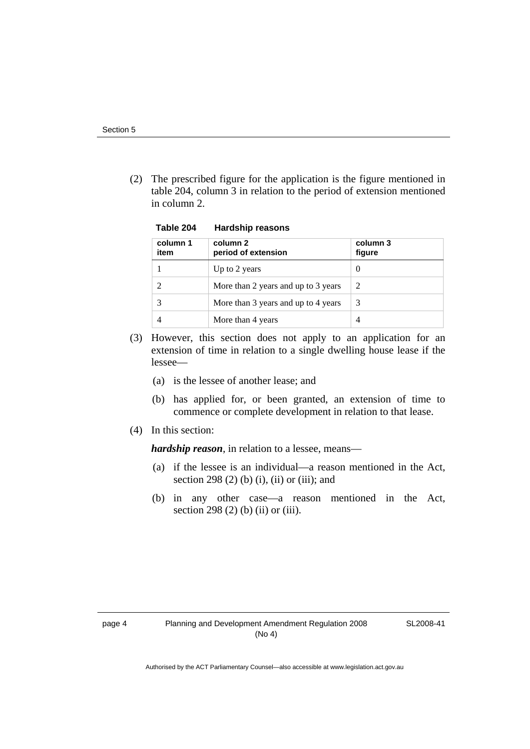(2) The prescribed figure for the application is the figure mentioned in table 204, column 3 in relation to the period of extension mentioned in column 2.

**Table 204 Hardship reasons** 

| column 1<br>item | column 2<br>period of extension     | column 3<br>figure |
|------------------|-------------------------------------|--------------------|
|                  | Up to 2 years                       | $\theta$           |
|                  | More than 2 years and up to 3 years | 2                  |
|                  | More than 3 years and up to 4 years | 3                  |
|                  | More than 4 years                   | 4                  |

- (3) However, this section does not apply to an application for an extension of time in relation to a single dwelling house lease if the lessee—
	- (a) is the lessee of another lease; and
	- (b) has applied for, or been granted, an extension of time to commence or complete development in relation to that lease.
- (4) In this section:

*hardship reason*, in relation to a lessee, means—

- (a) if the lessee is an individual—a reason mentioned in the Act, section 298 (2) (b) (i), (ii) or (iii); and
- (b) in any other case—a reason mentioned in the Act, section 298 (2) (b) (ii) or (iii).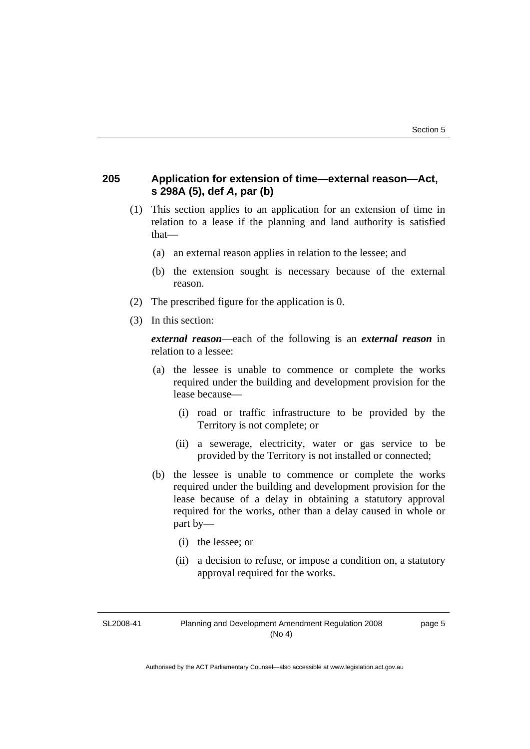# **205 Application for extension of time—external reason—Act, s 298A (5), def** *A***, par (b)**

- (1) This section applies to an application for an extension of time in relation to a lease if the planning and land authority is satisfied that—
	- (a) an external reason applies in relation to the lessee; and
	- (b) the extension sought is necessary because of the external reason.
- (2) The prescribed figure for the application is 0.
- (3) In this section:

*external reason*—each of the following is an *external reason* in relation to a lessee:

- (a) the lessee is unable to commence or complete the works required under the building and development provision for the lease because—
	- (i) road or traffic infrastructure to be provided by the Territory is not complete; or
	- (ii) a sewerage, electricity, water or gas service to be provided by the Territory is not installed or connected;
- (b) the lessee is unable to commence or complete the works required under the building and development provision for the lease because of a delay in obtaining a statutory approval required for the works, other than a delay caused in whole or part by—
	- (i) the lessee; or
	- (ii) a decision to refuse, or impose a condition on, a statutory approval required for the works.

SL2008-41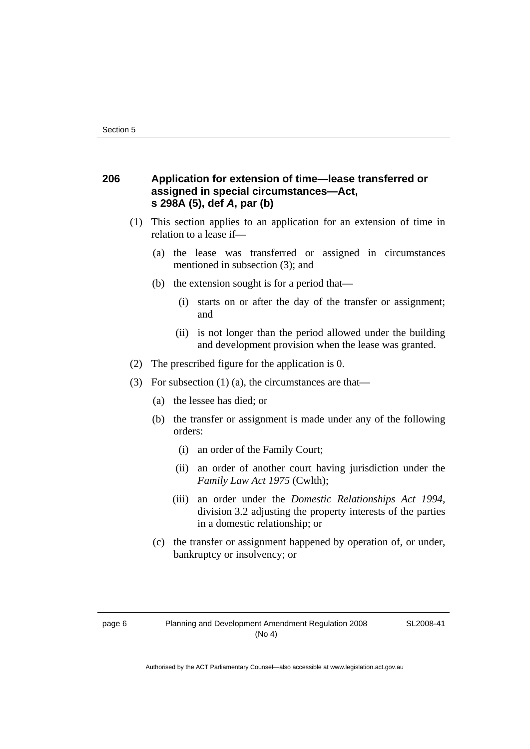# **206 Application for extension of time—lease transferred or assigned in special circumstances—Act, s 298A (5), def** *A***, par (b)**

- (1) This section applies to an application for an extension of time in relation to a lease if—
	- (a) the lease was transferred or assigned in circumstances mentioned in subsection (3); and
	- (b) the extension sought is for a period that—
		- (i) starts on or after the day of the transfer or assignment; and
		- (ii) is not longer than the period allowed under the building and development provision when the lease was granted.
- (2) The prescribed figure for the application is 0.
- (3) For subsection (1) (a), the circumstances are that—
	- (a) the lessee has died; or
	- (b) the transfer or assignment is made under any of the following orders:
		- (i) an order of the Family Court;
		- (ii) an order of another court having jurisdiction under the *Family Law Act 1975* (Cwlth);
		- (iii) an order under the *Domestic Relationships Act 1994,*  division 3.2 adjusting the property interests of the parties in a domestic relationship; or
	- (c) the transfer or assignment happened by operation of, or under, bankruptcy or insolvency; or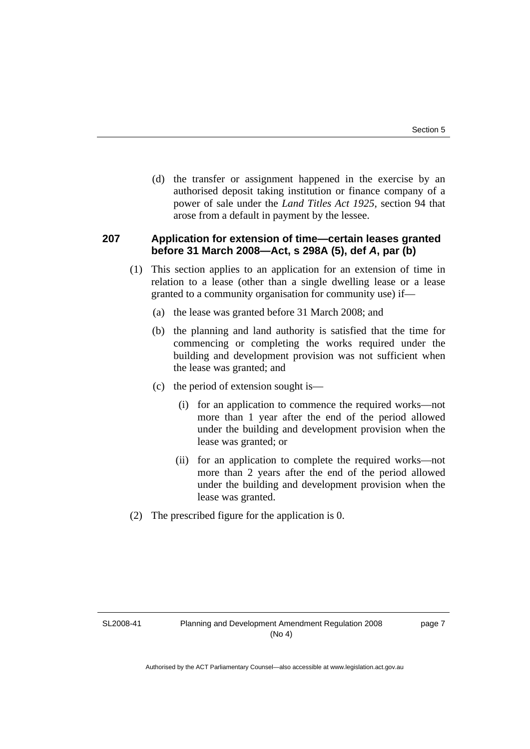(d) the transfer or assignment happened in the exercise by an authorised deposit taking institution or finance company of a power of sale under the *Land Titles Act 1925*, section 94 that arose from a default in payment by the lessee.

# **207 Application for extension of time—certain leases granted before 31 March 2008—Act, s 298A (5), def** *A***, par (b)**

- (1) This section applies to an application for an extension of time in relation to a lease (other than a single dwelling lease or a lease granted to a community organisation for community use) if—
	- (a) the lease was granted before 31 March 2008; and
	- (b) the planning and land authority is satisfied that the time for commencing or completing the works required under the building and development provision was not sufficient when the lease was granted; and
	- (c) the period of extension sought is—
		- (i) for an application to commence the required works—not more than 1 year after the end of the period allowed under the building and development provision when the lease was granted; or
		- (ii) for an application to complete the required works—not more than 2 years after the end of the period allowed under the building and development provision when the lease was granted.
- (2) The prescribed figure for the application is 0.

SL2008-41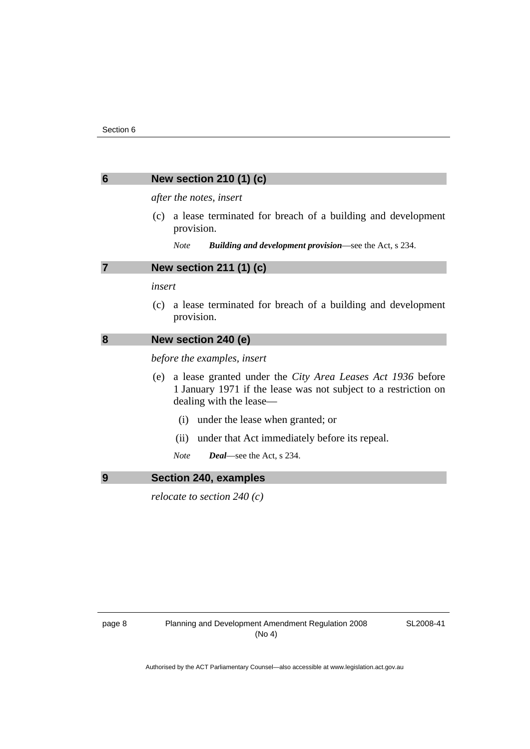# <span id="page-11-0"></span>**6 New section 210 (1) (c)**

*after the notes, insert* 

- (c) a lease terminated for breach of a building and development provision.
	- *Note Building and development provision*—see the Act, s 234.

#### **7 New section 211 (1) (c)**

#### *insert*

 (c) a lease terminated for breach of a building and development provision.

# **8 New section 240 (e)**

*before the examples, insert* 

- (e) a lease granted under the *City Area Leases Act 1936* before 1 January 1971 if the lease was not subject to a restriction on dealing with the lease—
	- (i) under the lease when granted; or
	- (ii) under that Act immediately before its repeal.
	- *Note Deal*—see the Act, s 234.

### **9 Section 240, examples**

*relocate to section 240 (c)*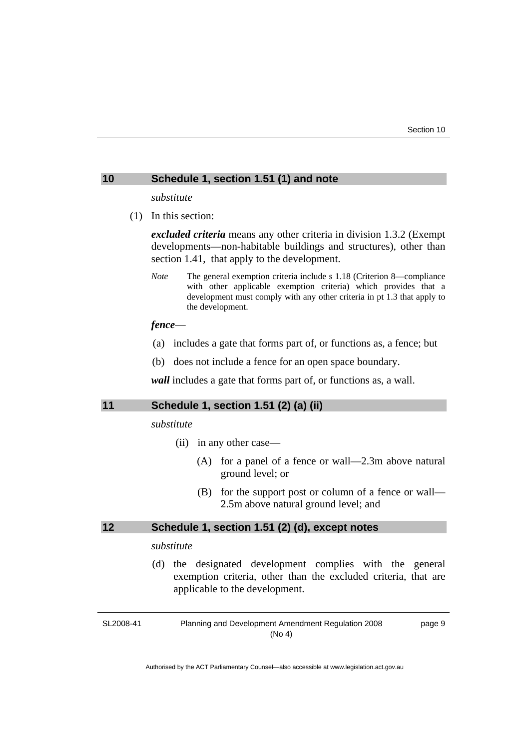#### <span id="page-12-0"></span>**10 Schedule 1, section 1.51 (1) and note**

*substitute* 

(1) In this section:

*excluded criteria* means any other criteria in division 1.3.2 (Exempt developments—non-habitable buildings and structures), other than section 1.41, that apply to the development.

*Note* The general exemption criteria include s 1.18 (Criterion 8—compliance with other applicable exemption criteria) which provides that a development must comply with any other criteria in pt 1.3 that apply to the development.

# *fence*—

- (a) includes a gate that forms part of, or functions as, a fence; but
- (b) does not include a fence for an open space boundary.

*wall* includes a gate that forms part of, or functions as, a wall.

### **11 Schedule 1, section 1.51 (2) (a) (ii)**

*substitute* 

- (ii) in any other case—
	- (A) for a panel of a fence or wall—2.3m above natural ground level; or
	- (B) for the support post or column of a fence or wall— 2.5m above natural ground level; and

#### **12 Schedule 1, section 1.51 (2) (d), except notes**

#### *substitute*

 (d) the designated development complies with the general exemption criteria, other than the excluded criteria, that are applicable to the development.

SL2008-41

Planning and Development Amendment Regulation 2008 (No 4)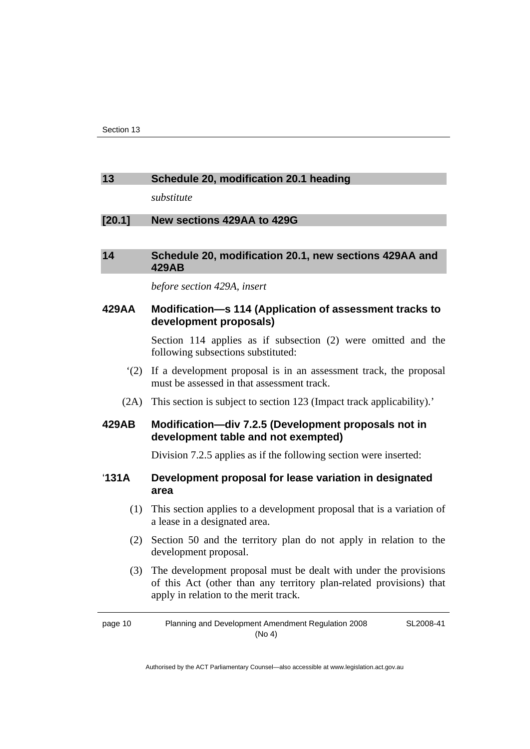## <span id="page-13-0"></span>**13 Schedule 20, modification 20.1 heading**

*substitute* 

# **[20.1] New sections 429AA to 429G**

# **14 Schedule 20, modification 20.1, new sections 429AA and 429AB**

#### *before section 429A, insert*

**429AA Modification—s 114 (Application of assessment tracks to development proposals)** 

> Section 114 applies as if subsection (2) were omitted and the following subsections substituted:

- '(2) If a development proposal is in an assessment track, the proposal must be assessed in that assessment track.
- (2A) This section is subject to section 123 (Impact track applicability).'

# **429AB Modification—div 7.2.5 (Development proposals not in development table and not exempted)**

Division 7.2.5 applies as if the following section were inserted:

# '**131A Development proposal for lease variation in designated area**

- (1) This section applies to a development proposal that is a variation of a lease in a designated area.
- (2) Section 50 and the territory plan do not apply in relation to the development proposal.
- (3) The development proposal must be dealt with under the provisions of this Act (other than any territory plan-related provisions) that apply in relation to the merit track.

page 10 Planning and Development Amendment Regulation 2008 (No 4) SL2008-41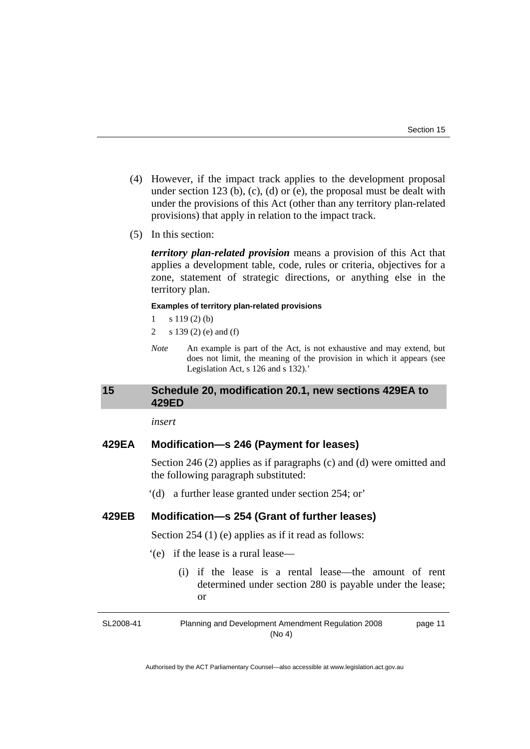- <span id="page-14-0"></span> (4) However, if the impact track applies to the development proposal under section 123 (b), (c), (d) or (e), the proposal must be dealt with under the provisions of this Act (other than any territory plan-related provisions) that apply in relation to the impact track.
- (5) In this section:

*territory plan-related provision* means a provision of this Act that applies a development table, code, rules or criteria, objectives for a zone, statement of strategic directions, or anything else in the territory plan.

#### **Examples of territory plan-related provisions**

- $1 \t s 119(2) (b)$
- 2 s 139 (2) (e) and (f)
- *Note* An example is part of the Act, is not exhaustive and may extend, but does not limit, the meaning of the provision in which it appears (see Legislation Act, s 126 and s 132).'

#### **15 Schedule 20, modification 20.1, new sections 429EA to 429ED**

*insert* 

# **429EA Modification—s 246 (Payment for leases)**

Section 246 (2) applies as if paragraphs (c) and (d) were omitted and the following paragraph substituted:

'(d) a further lease granted under section 254; or'

# **429EB Modification—s 254 (Grant of further leases)**

Section 254 (1) (e) applies as if it read as follows:

- '(e) if the lease is a rural lease—
	- (i) if the lease is a rental lease—the amount of rent determined under section 280 is payable under the lease; or

SL2008-41 Planning and Development Amendment Regulation 2008 (No 4) page 11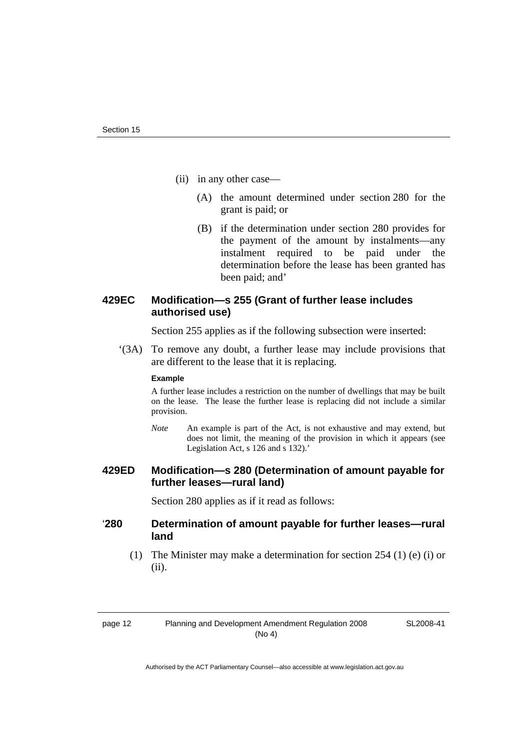- (ii) in any other case—
	- (A) the amount determined under section 280 for the grant is paid; or
	- (B) if the determination under section 280 provides for the payment of the amount by instalments—any instalment required to be paid under the determination before the lease has been granted has been paid; and'

# **429EC Modification—s 255 (Grant of further lease includes authorised use)**

Section 255 applies as if the following subsection were inserted:

 '(3A) To remove any doubt, a further lease may include provisions that are different to the lease that it is replacing.

#### **Example**

A further lease includes a restriction on the number of dwellings that may be built on the lease. The lease the further lease is replacing did not include a similar provision.

*Note* An example is part of the Act, is not exhaustive and may extend, but does not limit, the meaning of the provision in which it appears (see Legislation Act, s 126 and s 132).'

# **429ED Modification—s 280 (Determination of amount payable for further leases—rural land)**

Section 280 applies as if it read as follows:

# '**280 Determination of amount payable for further leases—rural land**

 (1) The Minister may make a determination for section 254 (1) (e) (i) or (ii).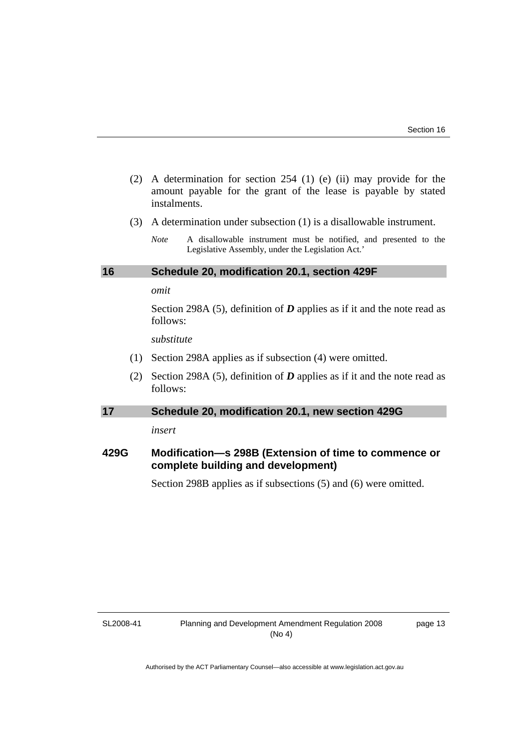- <span id="page-16-0"></span> (2) A determination for section 254 (1) (e) (ii) may provide for the amount payable for the grant of the lease is payable by stated instalments.
- (3) A determination under subsection (1) is a disallowable instrument.

#### **16 Schedule 20, modification 20.1, section 429F**

#### *omit*

Section 298A (5), definition of *D* applies as if it and the note read as follows:

*substitute* 

- (1) Section 298A applies as if subsection (4) were omitted.
- (2) Section 298A (5), definition of *D* applies as if it and the note read as follows:

#### **17 Schedule 20, modification 20.1, new section 429G**

*insert* 

# **429G Modification—s 298B (Extension of time to commence or complete building and development)**

Section 298B applies as if subsections (5) and (6) were omitted.

SL2008-41

*Note* A disallowable instrument must be notified, and presented to the Legislative Assembly, under the Legislation Act.'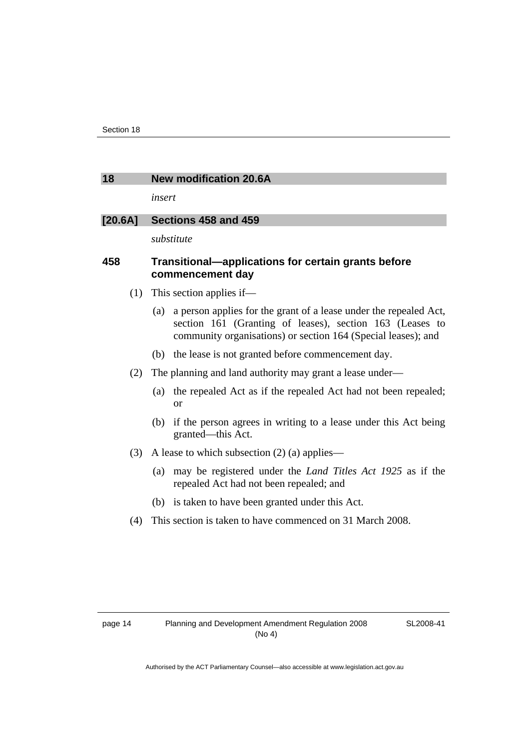#### <span id="page-17-0"></span>**18 New modification 20.6A**

*insert* 

# **[20.6A] Sections 458 and 459**

*substitute* 

# **458 Transitional—applications for certain grants before commencement day**

- (1) This section applies if—
	- (a) a person applies for the grant of a lease under the repealed Act, section 161 (Granting of leases), section 163 (Leases to community organisations) or section 164 (Special leases); and
	- (b) the lease is not granted before commencement day.
- (2) The planning and land authority may grant a lease under—
	- (a) the repealed Act as if the repealed Act had not been repealed; or
	- (b) if the person agrees in writing to a lease under this Act being granted—this Act.
- (3) A lease to which subsection (2) (a) applies—
	- (a) may be registered under the *Land Titles Act 1925* as if the repealed Act had not been repealed; and
	- (b) is taken to have been granted under this Act.
- (4) This section is taken to have commenced on 31 March 2008.